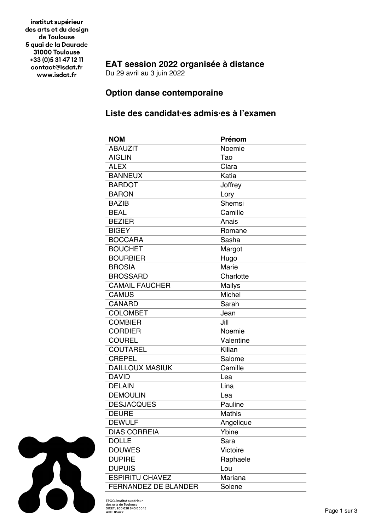institut supérieur des arts et du design de Toulouse 5 quai de la Daurade 31000 Toulouse +33 (0) 5 31 47 12 11 contact@isdat.fr www.isdat.fr

## **EAT session 2022 organisée à distance**

Du 29 avril au 3 juin 2022

## **Option danse contemporaine**

## **Liste des candidat·es admis·es à l'examen**

| <b>NOM</b>                  | Prénom        |
|-----------------------------|---------------|
| <b>ABAUZIT</b>              | Noemie        |
| <b>AIGLIN</b>               | Tao           |
| <b>ALEX</b>                 | Clara         |
| <b>BANNEUX</b>              | Katia         |
| <b>BARDOT</b>               | Joffrey       |
| <b>BARON</b>                | Lory          |
| <b>BAZIB</b>                | Shemsi        |
| <b>BEAL</b>                 | Camille       |
| <b>BEZIER</b>               | Anais         |
| <b>BIGEY</b>                | Romane        |
| <b>BOCCARA</b>              | Sasha         |
| <b>BOUCHET</b>              | Margot        |
| <b>BOURBIER</b>             | Hugo          |
| <b>BROSIA</b>               | Marie         |
| <b>BROSSARD</b>             | Charlotte     |
| <b>CAMAIL FAUCHER</b>       | <b>Mailys</b> |
| <b>CAMUS</b>                | Michel        |
| <b>CANARD</b>               | Sarah         |
| <b>COLOMBET</b>             | Jean          |
| <b>COMBIER</b>              | Jill          |
| <b>CORDIER</b>              | Noemie        |
| <b>COUREL</b>               | Valentine     |
| <b>COUTAREL</b>             | Kilian        |
| <b>CREPEL</b>               | Salome        |
| <b>DAILLOUX MASIUK</b>      | Camille       |
| <b>DAVID</b>                | Lea           |
| <b>DELAIN</b>               | Lina          |
| <b>DEMOULIN</b>             | Lea           |
| <b>DESJACQUES</b>           | Pauline       |
| <b>DEURE</b>                | <b>Mathis</b> |
| <b>DEWULF</b>               | Angelique     |
| <b>DIAS CORREIA</b>         | Ybine         |
| <b>DOLLE</b>                | Sara          |
| <b>DOUWES</b>               | Victoire      |
| <b>DUPIRE</b>               | Raphaele      |
| <b>DUPUIS</b>               | Lou           |
| <b>ESPIRITU CHAVEZ</b>      | Mariana       |
| <b>FERNANDEZ DE BLANDER</b> | Solene        |



EPCC, institut supérieur<br>des arts de Toulouse<br>SIRET : 200 028 843 000 15<br>APE : 8542Z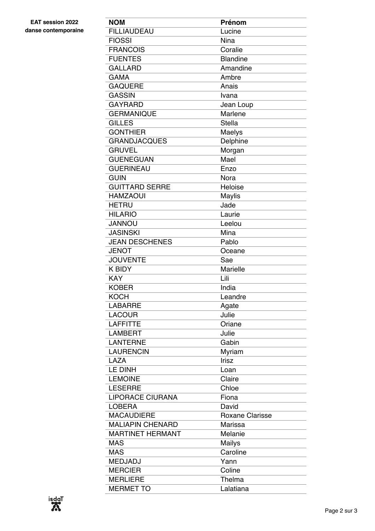| <b>NOM</b>              | Prénom                 |
|-------------------------|------------------------|
| <b>FILLIAUDEAU</b>      | Lucine                 |
| <b>FIOSSI</b>           | Nina                   |
| <b>FRANCOIS</b>         | Coralie                |
| <b>FUENTES</b>          | <b>Blandine</b>        |
| <b>GALLARD</b>          | Amandine               |
| <b>GAMA</b>             | Ambre                  |
| <b>GAQUERE</b>          | Anais                  |
| <b>GASSIN</b>           | Ivana                  |
| <b>GAYRARD</b>          | Jean Loup              |
| <b>GERMANIQUE</b>       | Marlene                |
| <b>GILLES</b>           | <b>Stella</b>          |
| <b>GONTHIER</b>         | Maelys                 |
| <b>GRANDJACQUES</b>     | Delphine               |
| <b>GRUVEL</b>           | Morgan                 |
| <b>GUENEGUAN</b>        | Mael                   |
| <b>GUERINEAU</b>        | Enzo                   |
| <b>GUIN</b>             | Nora                   |
| <b>GUITTARD SERRE</b>   | Heloise                |
| <b>HAMZAOUI</b>         | <b>Maylis</b>          |
| <b>HETRU</b>            | Jade                   |
| <b>HILARIO</b>          | Laurie                 |
| <b>JANNOU</b>           | Leelou                 |
| <b>JASINSKI</b>         | Mina                   |
| <b>JEAN DESCHENES</b>   | Pablo                  |
| <b>JENOT</b>            | Oceane                 |
| <b>JOUVENTE</b>         | Sae                    |
| <b>K BIDY</b>           | <b>Marielle</b>        |
| <b>KAY</b>              | Lili                   |
| <b>KOBER</b>            | India                  |
| <b>KOCH</b>             | Leandre                |
| <b>LABARRE</b>          | Agate                  |
| <b>LACOUR</b>           | Julie                  |
| <b>LAFFITTE</b>         | Oriane                 |
| <b>LAMBERT</b>          | Julie                  |
| <b>LANTERNE</b>         | Gabin                  |
| <b>LAURENCIN</b>        | Myriam                 |
| <b>LAZA</b>             | Irisz                  |
| <b>LE DINH</b>          | Loan                   |
| <b>LEMOINE</b>          | Claire                 |
| <b>LESERRE</b>          | Chloe                  |
| <b>LIPORACE CIURANA</b> | Fiona                  |
| <b>LOBERA</b>           | David                  |
| <b>MACAUDIERE</b>       | <b>Roxane Clarisse</b> |
| <b>MALIAPIN CHENARD</b> | Marissa                |
| <b>MARTINET HERMANT</b> | Melanie                |
| <b>MAS</b>              | <b>Mailys</b>          |
| <b>MAS</b>              | Caroline               |
| <b>MEDJADJ</b>          | Yann                   |
| <b>MERCIER</b>          | Coline                 |
| <b>MERLIERE</b>         | Thelma                 |
| <b>MERMET TO</b>        | Lalatiana              |